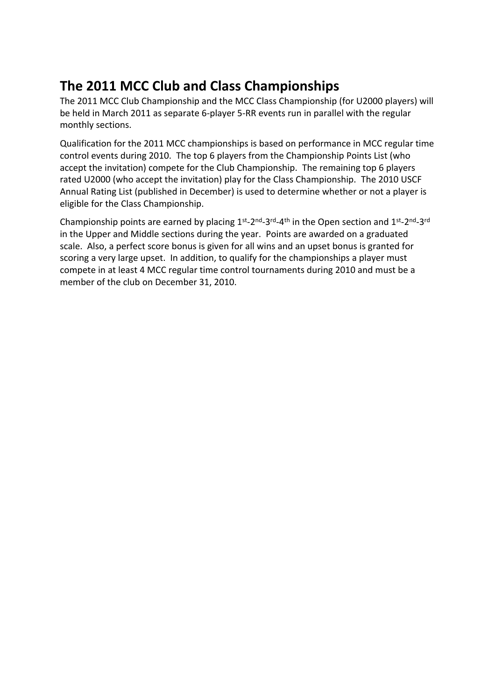## **The 2011 MCC Club and Class Championships**

The 2011 MCC Club Championship and the MCC Class Championship (for U2000 players) will be held in March 2011 as separate 6-player 5-RR events run in parallel with the regular monthly sections.

Qualification for the 2011 MCC championships is based on performance in MCC regular time control events during 2010. The top 6 players from the Championship Points List (who accept the invitation) compete for the Club Championship. The remaining top 6 players rated U2000 (who accept the invitation) play for the Class Championship. The 2010 USCF Annual Rating List (published in December) is used to determine whether or not a player is eligible for the Class Championship.

Championship points are earned by placing 1st-2nd-3rd-4th in the Open section and 1st-2nd-3rd in the Upper and Middle sections during the year. Points are awarded on a graduated scale. Also, a perfect score bonus is given for all wins and an upset bonus is granted for scoring a very large upset. In addition, to qualify for the championships a player must compete in at least 4 MCC regular time control tournaments during 2010 and must be a member of the club on December 31, 2010.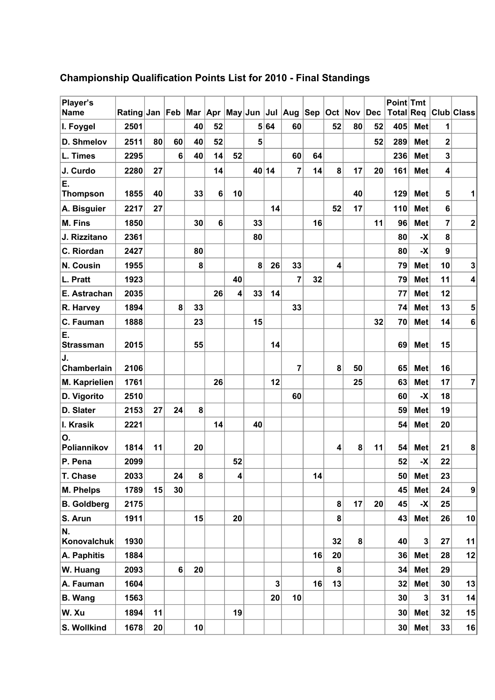| Player's<br><b>Name</b> | Rating Jan Feb |    |    |    |                |    |       |                | Mar  Apr  May∣Jun  Jul  Aug  Sep_ |    |                | <b>Oct Nov Dec</b> |    | Point Tmt |                |                         | Total Req Club Class    |
|-------------------------|----------------|----|----|----|----------------|----|-------|----------------|-----------------------------------|----|----------------|--------------------|----|-----------|----------------|-------------------------|-------------------------|
| I. Foygel               | 2501           |    |    | 40 | 52             |    |       | 5 64           | 60                                |    | 52             | 80                 | 52 | 405       | <b>Met</b>     | 1                       |                         |
| D. Shmelov              | 2511           | 80 | 60 | 40 | 52             |    | 5     |                |                                   |    |                |                    | 52 | 289       | <b>Met</b>     | $\overline{\mathbf{2}}$ |                         |
| L. Times                | 2295           |    | 6  | 40 | 14             | 52 |       |                | 60                                | 64 |                |                    |    | 236       | <b>Met</b>     | 3                       |                         |
| J. Curdo                | 2280           | 27 |    |    | 14             |    | 40 14 |                | $\overline{7}$                    | 14 | 8              | 17                 | 20 | 161       | <b>Met</b>     | 4                       |                         |
| Ε.                      |                |    |    |    |                |    |       |                |                                   |    |                |                    |    |           |                |                         |                         |
| <b>Thompson</b>         | 1855           | 40 |    | 33 | $6\phantom{1}$ | 10 |       |                |                                   |    |                | 40                 |    | 129       | <b>Met</b>     | 5                       | 1                       |
| A. Bisguier             | 2217           | 27 |    |    |                |    |       | 14             |                                   |    | 52             | 17                 |    | 110       | <b>Met</b>     | 6                       |                         |
| M. Fins                 | 1850           |    |    | 30 | $6\phantom{1}$ |    | 33    |                |                                   | 16 |                |                    | 11 | 96        | <b>Met</b>     | $\overline{7}$          | $\mathbf{2}$            |
| J. Rizzitano            | 2361           |    |    |    |                |    | 80    |                |                                   |    |                |                    |    | 80        | $-\mathsf{X}$  | 8                       |                         |
| C. Riordan              | 2427           |    |    | 80 |                |    |       |                |                                   |    |                |                    |    | 80        | -X             | $\overline{9}$          |                         |
| N. Cousin               | 1955           |    |    | 8  |                |    | 8     | 26             | 33                                |    | 4              |                    |    | 79        | <b>Met</b>     | 10                      | $\mathbf 3$             |
| L. Pratt                | 1923           |    |    |    |                | 40 |       |                | 7                                 | 32 |                |                    |    | 79        | <b>Met</b>     | 11                      | $\overline{\mathbf{4}}$ |
| E. Astrachan            | 2035           |    |    |    | 26             | 4  | 33    | 14             |                                   |    |                |                    |    | 77        | <b>Met</b>     | 12                      |                         |
| R. Harvey               | 1894           |    | 8  | 33 |                |    |       |                | 33                                |    |                |                    |    | 74        | <b>Met</b>     | 13                      | ${\bf 5}$               |
| C. Fauman               | 1888           |    |    | 23 |                |    | 15    |                |                                   |    |                |                    | 32 | 70        | <b>Met</b>     | 14                      | $\bf 6$                 |
| Ε.<br><b>Strassman</b>  | 2015           |    |    | 55 |                |    |       | 14             |                                   |    |                |                    |    | 69        | <b>Met</b>     | 15                      |                         |
| J.                      |                |    |    |    |                |    |       |                |                                   |    |                |                    |    |           |                |                         |                         |
| Chamberlain             | 2106           |    |    |    |                |    |       |                | 7                                 |    | 8              | 50                 |    | 65        | <b>Met</b>     | 16                      |                         |
| M. Kaprielien           | 1761           |    |    |    | 26             |    |       | 12             |                                   |    |                | 25                 |    | 63        | <b>Met</b>     | 17                      | $\overline{7}$          |
| D. Vigorito             | 2510           |    |    |    |                |    |       |                | 60                                |    |                |                    |    | 60        | -X             | 18                      |                         |
| D. Slater               | 2153           | 27 | 24 | 8  |                |    |       |                |                                   |    |                |                    |    | 59        | <b>Met</b>     | 19                      |                         |
| I. Krasik               | 2221           |    |    |    | 14             |    | 40    |                |                                   |    |                |                    |    | 54        | <b>Met</b>     | 20                      |                         |
| О.<br>Poliannikov       | 1814           | 11 |    | 20 |                |    |       |                |                                   |    | 4              | 8                  | 11 | 54        | <b>Met</b>     | 21                      | ${\bf 8}$               |
| P. Pena                 | 2099           |    |    |    |                | 52 |       |                |                                   |    |                |                    |    | 52        | -X             | 22                      |                         |
| T. Chase                | 2033           |    | 24 | 8  |                | 4  |       |                |                                   | 14 |                |                    |    | 50        | Met            | 23                      |                         |
| M. Phelps               | 1789           | 15 | 30 |    |                |    |       |                |                                   |    |                |                    |    | 45        | Met            | 24                      | 9                       |
| <b>B.</b> Goldberg      | 2175           |    |    |    |                |    |       |                |                                   |    | 8              | 17                 | 20 | 45        | -X             | 25                      |                         |
| S. Arun                 | 1911           |    |    | 15 |                | 20 |       |                |                                   |    | 8 <sup>1</sup> |                    |    | 43        | Met            | 26                      | 10                      |
| N.<br>Konovalchuk       | 1930           |    |    |    |                |    |       |                |                                   |    | 32             | 8                  |    | 40        | 3 <sup>2</sup> | 27                      | 11                      |
| A. Paphitis             | 1884           |    |    |    |                |    |       |                |                                   | 16 | 20             |                    |    | 36        | Met            | 28                      | 12                      |
| W. Huang                | 2093           |    | 6  | 20 |                |    |       |                |                                   |    | 8 <sup>1</sup> |                    |    | 34        | Met            | 29                      |                         |
| A. Fauman               | 1604           |    |    |    |                |    |       | 3 <sup>2</sup> |                                   | 16 | 13             |                    |    | 32        | Met            | 30                      | 13                      |
| <b>B.</b> Wang          | 1563           |    |    |    |                |    |       | 20             | 10                                |    |                |                    |    | 30        | 3 <sup>2</sup> | 31                      | 14                      |
| W. Xu                   | 1894           | 11 |    |    |                | 19 |       |                |                                   |    |                |                    |    | 30        | Met            | 32                      | 15                      |
| S. Wollkind             | 1678           | 20 |    | 10 |                |    |       |                |                                   |    |                |                    |    | 30        | Met            | 33                      | 16                      |

## **Championship Qualification Points List for 2010 - Final Standings**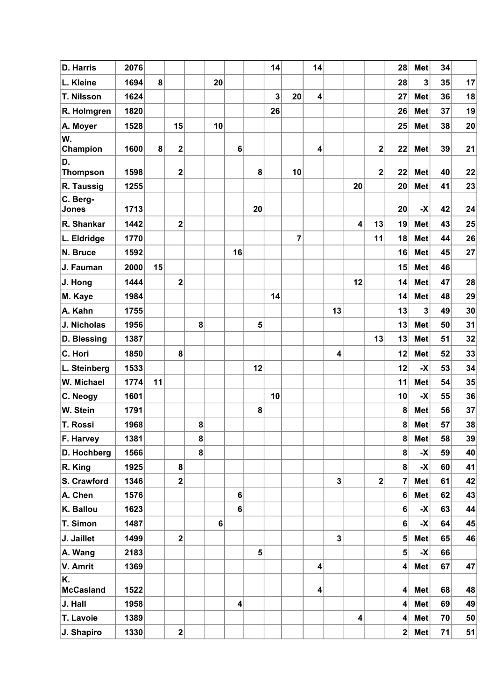| <b>D. Harris</b>      | 2076 |           |                         |   |                |                         |                 | 14           |                | 14                      |                         |                         |              | 28                      | <b>Met</b>              | 34 |    |
|-----------------------|------|-----------|-------------------------|---|----------------|-------------------------|-----------------|--------------|----------------|-------------------------|-------------------------|-------------------------|--------------|-------------------------|-------------------------|----|----|
| L. Kleine             | 1694 | 8         |                         |   | 20             |                         |                 |              |                |                         |                         |                         |              | 28                      | $\overline{\mathbf{3}}$ | 35 | 17 |
| T. Nilsson            | 1624 |           |                         |   |                |                         |                 | $\mathbf{3}$ | 20             | $\overline{\mathbf{4}}$ |                         |                         |              | 27                      | <b>Met</b>              | 36 | 18 |
| R. Holmgren           | 1820 |           |                         |   |                |                         |                 | 26           |                |                         |                         |                         |              | 26                      | <b>Met</b>              | 37 | 19 |
| A. Moyer              | 1528 |           | 15                      |   | 10             |                         |                 |              |                |                         |                         |                         |              | 25                      | Met                     | 38 | 20 |
| W.                    |      |           |                         |   |                |                         |                 |              |                |                         |                         |                         |              |                         |                         |    |    |
| Champion              | 1600 | $\pmb{8}$ | $\mathbf 2$             |   |                | 6                       |                 |              |                | 4                       |                         |                         | $\mathbf{2}$ | 22                      | Met                     | 39 | 21 |
| D.<br><b>Thompson</b> | 1598 |           | $\mathbf 2$             |   |                |                         | 8               |              | 10             |                         |                         |                         | $\mathbf{2}$ | 22                      | <b>Met</b>              | 40 | 22 |
| R. Taussig            | 1255 |           |                         |   |                |                         |                 |              |                |                         |                         | 20                      |              | 20                      | Met                     | 41 | 23 |
| C. Berg-              |      |           |                         |   |                |                         |                 |              |                |                         |                         |                         |              |                         |                         |    |    |
| Jones                 | 1713 |           |                         |   |                |                         | 20              |              |                |                         |                         |                         |              | 20                      | $\vert X \vert$         | 42 | 24 |
| R. Shankar            | 1442 |           | $\overline{\mathbf{2}}$ |   |                |                         |                 |              |                |                         |                         | $\overline{\mathbf{4}}$ | 13           | 19                      | <b>Met</b>              | 43 | 25 |
| L. Eldridge           | 1770 |           |                         |   |                |                         |                 |              | $\overline{7}$ |                         |                         |                         | 11           | 18                      | Met                     | 44 | 26 |
| N. Bruce              | 1592 |           |                         |   |                | 16                      |                 |              |                |                         |                         |                         |              | 16                      | <b>Met</b>              | 45 | 27 |
| J. Fauman             | 2000 | 15        |                         |   |                |                         |                 |              |                |                         |                         |                         |              | 15                      | <b>Met</b>              | 46 |    |
| J. Hong               | 1444 |           | $\mathbf{2}$            |   |                |                         |                 |              |                |                         |                         | 12                      |              | 14                      | <b>Met</b>              | 47 | 28 |
| M. Kaye               | 1984 |           |                         |   |                |                         |                 | 14           |                |                         |                         |                         |              | 14                      | <b>Met</b>              | 48 | 29 |
| A. Kahn               | 1755 |           |                         |   |                |                         |                 |              |                |                         | 13                      |                         |              | 13                      | $\overline{\mathbf{3}}$ | 49 | 30 |
| J. Nicholas           | 1956 |           |                         | 8 |                |                         | 5               |              |                |                         |                         |                         |              | 13                      | <b>Met</b>              | 50 | 31 |
| D. Blessing           | 1387 |           |                         |   |                |                         |                 |              |                |                         |                         |                         | 13           | 13                      | <b>Met</b>              | 51 | 32 |
| C. Hori               | 1850 |           | 8                       |   |                |                         |                 |              |                |                         | $\overline{\mathbf{4}}$ |                         |              | 12                      | <b>Met</b>              | 52 | 33 |
| L. Steinberg          | 1533 |           |                         |   |                |                         | 12              |              |                |                         |                         |                         |              | 12                      | $\mathsf{X}$            | 53 | 34 |
| W. Michael            | 1774 | 11        |                         |   |                |                         |                 |              |                |                         |                         |                         |              | 11                      | <b>Met</b>              | 54 | 35 |
| C. Neogy              | 1601 |           |                         |   |                |                         |                 | 10           |                |                         |                         |                         |              | 10                      | $-\mathsf{X}$           | 55 | 36 |
| W. Stein              | 1791 |           |                         |   |                |                         | 8               |              |                |                         |                         |                         |              | 8                       | <b>Met</b>              | 56 | 37 |
| <b>T. Rossi</b>       | 1968 |           |                         | 8 |                |                         |                 |              |                |                         |                         |                         |              | 8                       | <b>Met</b>              | 57 | 38 |
| F. Harvey             | 1381 |           |                         | 8 |                |                         |                 |              |                |                         |                         |                         |              | 8                       | Met                     | 58 | 39 |
| D. Hochberg           | 1566 |           |                         | 8 |                |                         |                 |              |                |                         |                         |                         |              | $\bf{8}$                | $\vert X \vert$         | 59 | 40 |
| R. King               | 1925 |           | 8                       |   |                |                         |                 |              |                |                         |                         |                         |              | $\bf{8}$                | $\vert X \vert$         | 60 | 41 |
| S. Crawford           | 1346 |           | $\mathbf 2$             |   |                |                         |                 |              |                |                         | 3                       |                         | $\mathbf 2$  | 7                       | Met                     | 61 | 42 |
| A. Chen               | 1576 |           |                         |   |                | $\bf 6$                 |                 |              |                |                         |                         |                         |              | $\bf 6$                 | Met                     | 62 | 43 |
| K. Ballou             | 1623 |           |                         |   |                | 6                       |                 |              |                |                         |                         |                         |              | 6                       | $\mathbf{X}$            | 63 | 44 |
| T. Simon              | 1487 |           |                         |   | $6\phantom{1}$ |                         |                 |              |                |                         |                         |                         |              | $\bf 6$                 | $\vert X \vert$         | 64 | 45 |
| J. Jaillet            | 1499 |           | $\overline{\mathbf{2}}$ |   |                |                         |                 |              |                |                         | $\overline{\mathbf{3}}$ |                         |              | 5 <sup>5</sup>          | Met                     | 65 | 46 |
| A. Wang               | 2183 |           |                         |   |                |                         | $5\phantom{.0}$ |              |                |                         |                         |                         |              | $5\phantom{a}$          | $\vert X \vert$         | 66 |    |
| V. Amrit              | 1369 |           |                         |   |                |                         |                 |              |                | 4                       |                         |                         |              | $\vert$                 | Met                     | 67 | 47 |
| K.                    |      |           |                         |   |                |                         |                 |              |                |                         |                         |                         |              |                         |                         |    |    |
| <b>McCasland</b>      | 1522 |           |                         |   |                |                         |                 |              |                | 4                       |                         |                         |              | $\vert$                 | Met                     | 68 | 48 |
| J. Hall               | 1958 |           |                         |   |                | $\overline{\mathbf{4}}$ |                 |              |                |                         |                         |                         |              | $\overline{\mathbf{4}}$ | Met                     | 69 | 49 |
| T. Lavoie             | 1389 |           |                         |   |                |                         |                 |              |                |                         |                         | $\overline{\mathbf{4}}$ |              | $\vert$                 | Met                     | 70 | 50 |
| J. Shapiro            | 1330 |           | $\mathbf{2}$            |   |                |                         |                 |              |                |                         |                         |                         |              | 2                       | Met                     | 71 | 51 |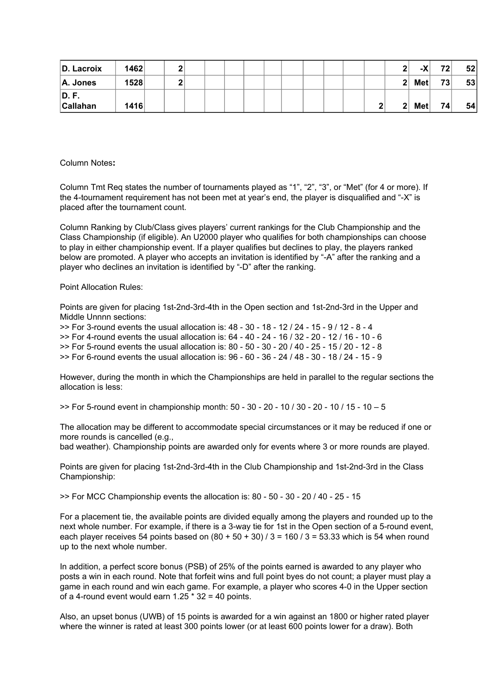| D. Lacroix               | 1462 |  |  |  |  |  |  | <u>_</u>       | v<br>ΞΛ.   | 72              | 52 |
|--------------------------|------|--|--|--|--|--|--|----------------|------------|-----------------|----|
| $ A.$ Jones              | 1528 |  |  |  |  |  |  | 2 <sup>1</sup> | <b>Met</b> | 73 <sub>1</sub> | 53 |
| D. F.<br><b>Callahan</b> | 1416 |  |  |  |  |  |  | 2 <sub>1</sub> | <b>Met</b> | 74              | 54 |

Column Notes**:**

Column Tmt Req states the number of tournaments played as "1", "2", "3", or "Met" (for 4 or more). If the 4-tournament requirement has not been met at year's end, the player is disqualified and "-X" is placed after the tournament count.

Column Ranking by Club/Class gives players' current rankings for the Club Championship and the Class Championship (if eligible). An U2000 player who qualifies for both championships can choose to play in either championship event. If a player qualifies but declines to play, the players ranked below are promoted. A player who accepts an invitation is identified by "-A" after the ranking and a player who declines an invitation is identified by "-D" after the ranking.

Point Allocation Rules:

Points are given for placing 1st-2nd-3rd-4th in the Open section and 1st-2nd-3rd in the Upper and Middle Unnnn sections:

 $\geq$  For 3-round events the usual allocation is:  $48 - 30 - 18 - 12 / 24 - 15 - 9 / 12 - 8 - 4$ >> For 4-round events the usual allocation is: 64 - 40 - 24 - 16 / 32 - 20 - 12 / 16 - 10 - 6 >> For 5-round events the usual allocation is: 80 - 50 - 30 - 20 / 40 - 25 - 15 / 20 - 12 - 8 >> For 6-round events the usual allocation is: 96 - 60 - 36 - 24 / 48 - 30 - 18 / 24 - 15 - 9

However, during the month in which the Championships are held in parallel to the regular sections the allocation is less:

>> For 5-round event in championship month: 50 - 30 - 20 - 10 / 30 - 20 - 10 / 15 - 10 – 5

The allocation may be different to accommodate special circumstances or it may be reduced if one or more rounds is cancelled (e.g.,

bad weather). Championship points are awarded only for events where 3 or more rounds are played.

Points are given for placing 1st-2nd-3rd-4th in the Club Championship and 1st-2nd-3rd in the Class Championship:

>> For MCC Championship events the allocation is: 80 - 50 - 30 - 20 / 40 - 25 - 15

For a placement tie, the available points are divided equally among the players and rounded up to the next whole number. For example, if there is a 3-way tie for 1st in the Open section of a 5-round event, each player receives 54 points based on  $(80 + 50 + 30)$  / 3 = 160 / 3 = 53.33 which is 54 when round up to the next whole number.

In addition, a perfect score bonus (PSB) of 25% of the points earned is awarded to any player who posts a win in each round. Note that forfeit wins and full point byes do not count; a player must play a game in each round and win each game. For example, a player who scores 4-0 in the Upper section of a 4-round event would earn  $1.25 * 32 = 40$  points.

Also, an upset bonus (UWB) of 15 points is awarded for a win against an 1800 or higher rated player where the winner is rated at least 300 points lower (or at least 600 points lower for a draw). Both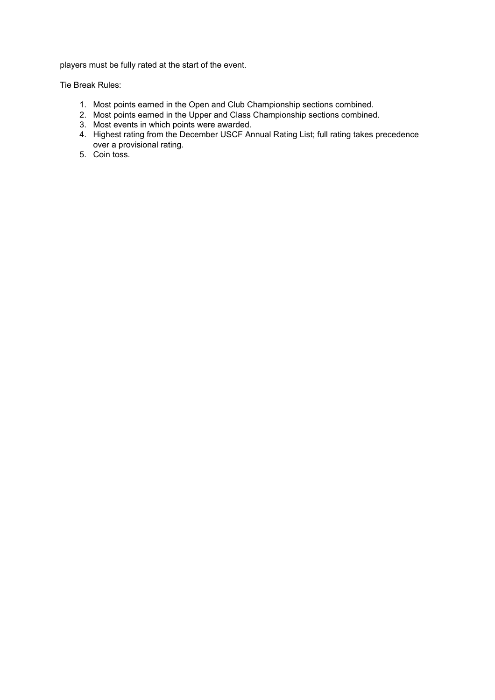players must be fully rated at the start of the event.

Tie Break Rules:

- 1. Most points earned in the Open and Club Championship sections combined.
- 2. Most points earned in the Upper and Class Championship sections combined.
- 3. Most events in which points were awarded.
- 4. Highest rating from the December USCF Annual Rating List; full rating takes precedence over a provisional rating.
- 5. Coin toss.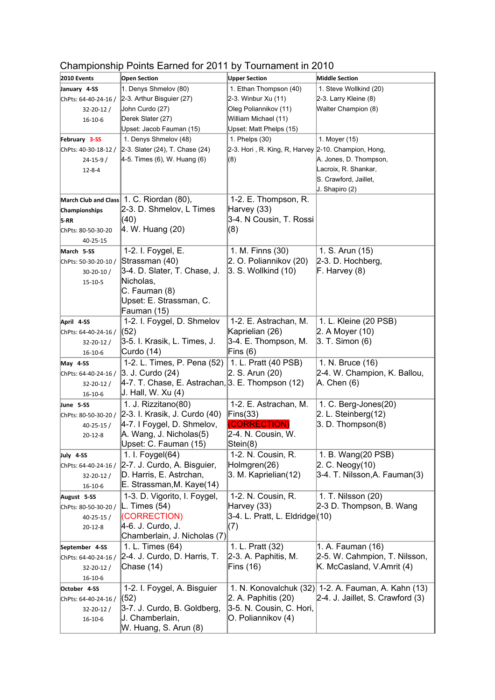|                             | --------                                         |                                                     |                                  |
|-----------------------------|--------------------------------------------------|-----------------------------------------------------|----------------------------------|
| 2010 Events                 | Open Section                                     | <b>Upper Section</b>                                | <b>Middle Section</b>            |
| January 4-SS                | 1. Denys Shmelov (80)                            | 1. Ethan Thompson (40)                              | 1. Steve Wollkind (20)           |
| ChPts: 64-40-24-16 /        | 2-3. Arthur Bisguier (27)                        | 2-3. Winbur Xu (11)                                 | 2-3. Larry Kleine (8)            |
| $32 - 20 - 12$ /            | John Curdo (27)                                  | Oleg Poliannikov (11)                               | Walter Champion (8)              |
| $16 - 10 - 6$               | Derek Slater (27)                                | William Michael (11)                                |                                  |
|                             | Upset: Jacob Fauman (15)                         | Upset: Matt Phelps (15)                             |                                  |
| February 3-SS               | 1. Denys Shmelov (48)                            | 1. Phelps (30)                                      | 1. Moyer (15)                    |
| ChPts: 40-30-18-12 /        | 2-3. Slater (24), T. Chase (24)                  | 2-3. Hori, R. King, R, Harvey 2-10. Champion, Hong, |                                  |
| $24 - 15 - 9/$              | 4-5. Times (6), W. Huang (6)                     | (8)                                                 | A. Jones, D. Thompson,           |
| $12 - 8 - 4$                |                                                  |                                                     | Lacroix, R. Shankar,             |
|                             |                                                  |                                                     | S. Crawford, Jaillet,            |
|                             |                                                  |                                                     | J. Shapiro (2)                   |
| <b>March Club and Class</b> | 1. C. Riordan (80),                              | 1-2. E. Thompson, R.                                |                                  |
| Championships               | 2-3. D. Shmelov, L Times                         | Harvey (33)                                         |                                  |
| $5-RR$                      | (40)                                             | 3-4. N Cousin, T. Rossi                             |                                  |
| ChPts: 80-50-30-20          | 4. W. Huang (20)                                 | (8)                                                 |                                  |
| 40-25-15                    |                                                  |                                                     |                                  |
| March 5-SS                  | 1-2. I. Foygel, E.                               | 1. M. Finns (30)                                    | 1. S. Arun (15)                  |
| ChPts: 50-30-20-10 /        | Strassman (40)                                   | 2. O. Poliannikov (20)                              | 2-3. D. Hochberg,                |
| $30 - 20 - 10/$             | 3-4. D. Slater, T. Chase, J.                     | 3. S. Wollkind (10)                                 | F. Harvey (8)                    |
| $15 - 10 - 5$               | Nicholas,                                        |                                                     |                                  |
|                             | C. Fauman (8)                                    |                                                     |                                  |
|                             | Upset: E. Strassman, C.                          |                                                     |                                  |
|                             | Fauman (15)                                      |                                                     |                                  |
| April 4-SS                  | 1-2. I. Foygel, D. Shmelov                       | 1-2. E. Astrachan, M.                               | 1. L. Kleine (20 PSB)            |
| ChPts: 64-40-24-16 /        | (52)                                             | Kaprielian (26)                                     | 2. A Moyer (10)                  |
| $32 - 20 - 12 /$            | 3-5. I. Krasik, L. Times, J.                     | 3-4. E. Thompson, M.                                | 3. T. Simon (6)                  |
| $16 - 10 - 6$               | Curdo (14)                                       | Fins $(6)$                                          |                                  |
| May 4-SS                    | 1-2. L. Times, P. Pena (52)                      | 1. L. Pratt (40 PSB)                                | 1. N. Bruce (16)                 |
| ChPts: 64-40-24-16 /        | 3. J. Curdo (24)                                 | 2. S. Arun (20)                                     | 2-4. W. Champion, K. Ballou,     |
| $32 - 20 - 12 /$            | 4-7. T. Chase, E. Astrachan, 3. E. Thompson (12) |                                                     | A. Chen (6)                      |
| $16 - 10 - 6$               | J. Hall, W. Xu (4)                               |                                                     |                                  |
| June 5-SS                   | 1. J. Rizzitano(80)                              | 1-2. E. Astrachan, M.                               | 1. C. Berg-Jones(20)             |
| ChPts: 80-50-30-20 /        | 2-3. I. Krasik, J. Curdo (40)                    | Fins(33)                                            | 2. L. Steinberg(12)              |
| $40 - 25 - 15/$             | 4-7. I Foygel, D. Shmelov,                       | (CORRECTION)                                        | 3. D. Thompson(8)                |
| $20 - 12 - 8$               | A. Wang, J. Nicholas(5)                          | 2-4. N. Cousin, W.                                  |                                  |
|                             | Upset: C. Fauman (15)                            | Stein(8)                                            |                                  |
| July 4-SS                   | 1. I. Foygel(64)                                 | 1-2. N. Cousin, R.                                  | 1. B. Wang(20 PSB)               |
| ChPts: 64-40-24-16 /        | 2-7. J. Curdo, A. Bisguier,                      | Holmgren(26)                                        | 2. C. Neogy(10)                  |
| 32-20-12/                   | D. Harris, E. Astrchan,                          | 3. M. Kaprielian(12)                                | 3-4. T. Nilsson, A. Fauman(3)    |
| $16 - 10 - 6$               | E. Strassman, M. Kaye (14)                       |                                                     |                                  |
| August 5-SS                 | 1-3. D. Vigorito, I. Foygel,                     | 1-2. N. Cousin, R.                                  | 1. T. Nilsson (20)               |
| ChPts: 80-50-30-20 /        | L. Times $(54)$                                  | Harvey (33)                                         | 2-3 D. Thompson, B. Wang         |
| $40 - 25 - 15/$             | (CORRECTION)                                     | 3-4. L. Pratt, L. Eldridge(10)                      |                                  |
| $20 - 12 - 8$               | 4-6. J. Curdo, J.                                | (7)                                                 |                                  |
|                             | Chamberlain, J. Nicholas (7)                     |                                                     |                                  |
| September 4-SS              | 1. L. Times (64)                                 | 1. L. Pratt (32)                                    | 1. A. Fauman (16)                |
| ChPts: 64-40-24-16 /        | 2-4. J. Curdo, D. Harris, T.                     | 2-3. A. Paphitis, M.                                | 2-5. W. Cahmpion, T. Nilsson,    |
| $32 - 20 - 12 /$            | Chase (14)                                       | Fins (16)                                           | K. McCasland, V.Amrit (4)        |
|                             |                                                  |                                                     |                                  |
| $16 - 10 - 6$               |                                                  |                                                     |                                  |
| October 4-SS                | 1-2. I. Foygel, A. Bisguier                      | 1. N. Konovalchuk (32)                              | 1-2. A. Fauman, A. Kahn (13)     |
| ChPts: 64-40-24-16 /        | (52)                                             | $2. A.$ Paphitis $(20)$                             | 2-4. J. Jaillet, S. Crawford (3) |
| $32 - 20 - 12$ /            | 3-7. J. Curdo, B. Goldberg,                      | 3-5. N. Cousin, C. Hori,                            |                                  |
| $16 - 10 - 6$               | J. Chamberlain,                                  | O. Poliannikov (4)                                  |                                  |
|                             | W. Huang, S. Arun (8)                            |                                                     |                                  |

## Championship Points Earned for 2011 by Tournament in 2010